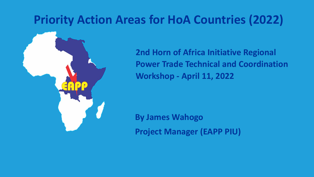### **Priority Action Areas for HoA Countries (2022)**



**2nd Horn of Africa Initiative Regional Power Trade Technical and Coordination Workshop - April 11, 2022**

**By James Wahogo Project Manager (EAPP PIU)**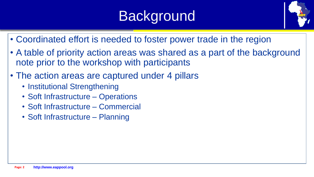## Background



- Coordinated effort is needed to foster power trade in the region
- A table of priority action areas was shared as a part of the background note prior to the workshop with participants
- The action areas are captured under 4 pillars
	- Institutional Strengthening
	- Soft Infrastructure Operations
	- Soft Infrastructure Commercial
	- Soft Infrastructure Planning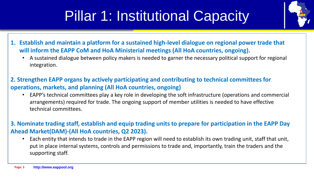# Pillar 1: Institutional Capacity

- 
- **1. Establish and maintain a platform for a sustained high-level dialogue on regional power trade that will inform the EAPP CoM and HoA Ministerial meetings (All HoA countries, ongoing).**
	- A sustained dialogue between policy makers is needed to garner the necessary political support for regional integration.
- **2. Strengthen EAPP organs by actively participating and contributing to technical committees for operations, markets, and planning (All HoA countries, ongoing)**
	- EAPP's technical committees play a key role in developing the soft infrastructure (operations and commercial arrangements) required for trade. The ongoing support of member utilities is needed to have effective technical committees.

**3. Nominate trading staff, establish and equip trading units to prepare for participation in the EAPP Day Ahead Market(DAM)-(All HoA countries, Q2 2023).**

• Each entity that intends to trade in the EAPP region will need to establish its own trading unit, staff that unit, put in place internal systems, controls and permissions to trade and, importantly, train the traders and the supporting staff.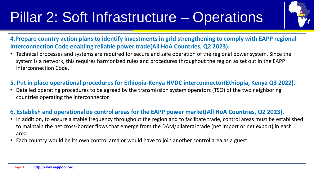## Pillar 2: Soft Infrastructure – Operations



**4.Prepare country action plans to identify investments in grid strengthening to comply with EAPP regional Interconnection Code enabling reliable power trade(All HoA Countries, Q2 2023).**

- Technical processes and systems are required for secure and safe operation of the regional power system. Since the system is a network, this requires harmonized rules and procedures throughout the region as set out in the EAPP Interconnection Code.
- **5. Put in place operational procedures for Ethiopia-Kenya HVDC interconnector(Ethiopia, Kenya Q3 2022).**
- Detailed operating procedures to be agreed by the transmission system operators (TSO) of the two neighboring countries operating the interconnector.

#### **6. Establish and operationalize control areas for the EAPP power market(All HoA Countries, Q2 2023).**

- In addition, to ensure a stable frequency throughout the region and to facilitate trade, control areas must be established to maintain the net cross-border flows that emerge from the DAM/bilateral trade (net import or net export) in each area.
- Each country would be its own control area or would have to join another control area as a guest.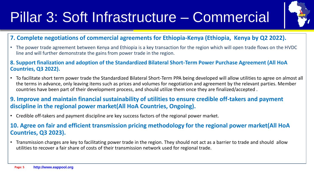### Pillar 3: Soft Infrastructure – Commercial



#### **7. Complete negotiations of commercial agreements for Ethiopia-Kenya (Ethiopia, Kenya by Q2 2022).**

- The power trade agreement between Kenya and Ethiopia is a key transaction for the region which will open trade flows on the HVDC line and will further demonstrate the gains from power trade in the region.
- **8. Support finalization and adoption of the Standardized Bilateral Short-Term Power Purchase Agreement (All HoA Countries, Q3 2022).**
- To facilitate short term power trade the Standardized Bilateral Short-Term PPA being developed will allow utilities to agree on almost all the terms in advance, only leaving items such as prices and volumes for negotiation and agreement by the relevant parties. Member countries have been part of their development process, and should utilize them once they are finalized/accepted .

#### **9. Improve and maintain financial sustainability of utilities to ensure credible off-takers and payment discipline in the regional power market(All HoA Countries, Ongoing).**

• Credible off-takers and payment discipline are key success factors of the regional power market.

#### **10. Agree on fair and efficient transmission pricing methodology for the regional power market(All HoA Countries, Q3 2023).**

• Transmission charges are key to facilitating power trade in the region. They should not act as a barrier to trade and should allow utilities to recover a fair share of costs of their transmission network used for regional trade.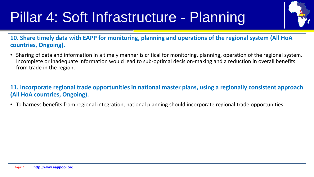# Pillar 4: Soft Infrastructure - Planning



**10. Share timely data with EAPP for monitoring, planning and operations of the regional system (All HoA countries, Ongoing).**

- Sharing of data and information in a timely manner is critical for monitoring, planning, operation of the regional system. Incomplete or inadequate information would lead to sub-optimal decision-making and a reduction in overall benefits from trade in the region.
- **11. Incorporate regional trade opportunities in national master plans, using a regionally consistent approach (All HoA countries, Ongoing).**
- To harness benefits from regional integration, national planning should incorporate regional trade opportunities.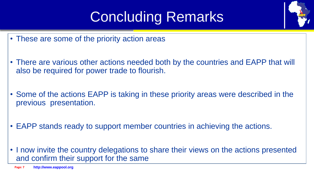## Concluding Remarks

- These are some of the priority action areas
- There are various other actions needed both by the countries and EAPP that will also be required for power trade to flourish.
- Some of the actions EAPP is taking in these priority areas were described in the previous presentation.
- EAPP stands ready to support member countries in achieving the actions.
- I now invite the country delegations to share their views on the actions presented and confirm their support for the same